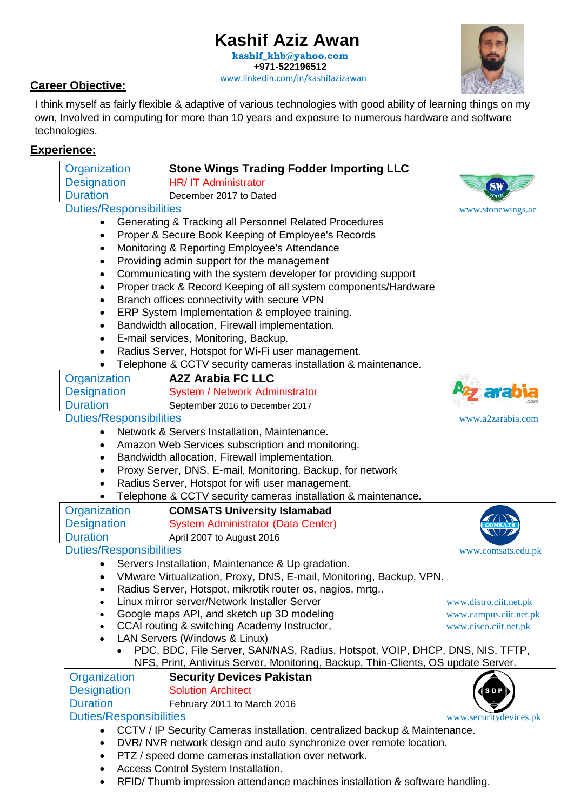# **Kashif Aziz Awan**

 [www.linkedin.com/in/kashifazizawan](https://www.linkedin.com/in/kashifazizawan/) **[kashif\\_khb@yahoo.com](mailto:kashif_khb@yahoo.com) +971-522196512**

#### **Career Objective:**

I think myself as fairly flexible & adaptive of various technologies with good ability of learning things on my own, Involved in computing for more than 10 years and exposure to numerous hardware and software technologies.

#### **Experience:**

|                                                                                   | Organization<br><b>Stone Wings Trading Fodder Importing LLC</b>                                                           |                                                                              |  |
|-----------------------------------------------------------------------------------|---------------------------------------------------------------------------------------------------------------------------|------------------------------------------------------------------------------|--|
|                                                                                   | <b>Designation</b><br>HR/ IT Administrator                                                                                |                                                                              |  |
|                                                                                   | <b>Duration</b><br>December 2017 to Dated                                                                                 |                                                                              |  |
|                                                                                   | <b>Duties/Responsibilities</b>                                                                                            | www.stonewings.ae                                                            |  |
|                                                                                   | Generating & Tracking all Personnel Related Procedures<br>$\bullet$                                                       |                                                                              |  |
|                                                                                   | Proper & Secure Book Keeping of Employee's Records<br>$\bullet$                                                           |                                                                              |  |
|                                                                                   | Monitoring & Reporting Employee's Attendance<br>$\bullet$                                                                 |                                                                              |  |
|                                                                                   | Providing admin support for the management<br>$\bullet$                                                                   |                                                                              |  |
|                                                                                   | Communicating with the system developer for providing support<br>$\bullet$                                                |                                                                              |  |
|                                                                                   | Proper track & Record Keeping of all system components/Hardware<br>$\bullet$                                              |                                                                              |  |
|                                                                                   | Branch offices connectivity with secure VPN<br>٠                                                                          |                                                                              |  |
|                                                                                   | ERP System Implementation & employee training.<br>$\bullet$                                                               |                                                                              |  |
|                                                                                   | Bandwidth allocation, Firewall implementation.<br>$\bullet$                                                               |                                                                              |  |
|                                                                                   | E-mail services, Monitoring, Backup.<br>$\bullet$                                                                         |                                                                              |  |
|                                                                                   | Radius Server, Hotspot for Wi-Fi user management.<br>٠                                                                    |                                                                              |  |
|                                                                                   | Telephone & CCTV security cameras installation & maintenance.                                                             |                                                                              |  |
|                                                                                   | <b>A2Z Arabia FC LLC</b><br>Organization                                                                                  |                                                                              |  |
|                                                                                   | <b>Designation</b><br>System / Network Administrator                                                                      |                                                                              |  |
|                                                                                   | <b>Duration</b><br>September 2016 to December 2017                                                                        |                                                                              |  |
|                                                                                   | <b>Duties/Responsibilities</b>                                                                                            | www.a2zarabia.com                                                            |  |
|                                                                                   | Network & Servers Installation, Maintenance.                                                                              |                                                                              |  |
|                                                                                   | Amazon Web Services subscription and monitoring.<br>$\bullet$                                                             |                                                                              |  |
|                                                                                   | Bandwidth allocation, Firewall implementation.<br>$\bullet$<br>Proxy Server, DNS, E-mail, Monitoring, Backup, for network |                                                                              |  |
|                                                                                   | $\bullet$<br>Radius Server, Hotspot for wifi user management.<br>$\bullet$                                                |                                                                              |  |
|                                                                                   | Telephone & CCTV security cameras installation & maintenance.                                                             |                                                                              |  |
|                                                                                   | Organization<br><b>COMSATS University Islamabad</b>                                                                       |                                                                              |  |
|                                                                                   | <b>Designation</b><br><b>System Administrator (Data Center)</b>                                                           |                                                                              |  |
|                                                                                   | <b>Duration</b><br>April 2007 to August 2016                                                                              |                                                                              |  |
|                                                                                   | <b>Duties/Responsibilities</b>                                                                                            | www.comsats.edu.pk                                                           |  |
|                                                                                   | Servers Installation, Maintenance & Up gradation.                                                                         |                                                                              |  |
|                                                                                   | VMware Virtualization, Proxy, DNS, E-mail, Monitoring, Backup, VPN.                                                       |                                                                              |  |
|                                                                                   | Radius Server, Hotspot, mikrotik router os, nagios, mrtg                                                                  |                                                                              |  |
|                                                                                   | Linux mirror server/Network Installer Server<br>$\bullet$                                                                 | www.distro.ciit.net.pk                                                       |  |
|                                                                                   | Google maps API, and sketch up 3D modeling<br>$\bullet$                                                                   | www.campus.ciit.net.pk                                                       |  |
|                                                                                   | CCAI routing & switching Academy Instructor,<br>$\bullet$                                                                 | www.cisco.ciit.net.pk                                                        |  |
|                                                                                   | LAN Servers (Windows & Linux)<br>$\bullet$                                                                                |                                                                              |  |
|                                                                                   |                                                                                                                           | PDC, BDC, File Server, SAN/NAS, Radius, Hotspot, VOIP, DHCP, DNS, NIS, TFTP, |  |
| NFS, Print, Antivirus Server, Monitoring, Backup, Thin-Clients, OS update Server. |                                                                                                                           |                                                                              |  |
|                                                                                   | Organization<br><b>Security Devices Pakistan</b>                                                                          |                                                                              |  |
|                                                                                   | <b>Designation</b><br><b>Solution Architect</b>                                                                           |                                                                              |  |
|                                                                                   | <b>Duration</b><br>February 2011 to March 2016                                                                            |                                                                              |  |
|                                                                                   | <b>Duties/Responsibilities</b>                                                                                            | www.securitydevices.pk                                                       |  |
|                                                                                   | CCTV / IP Security Cameras installation, centralized backup & Maintenance.<br>$\bullet$                                   |                                                                              |  |
|                                                                                   | DVR/ NVR network design and auto synchronize over remote location.<br>$\bullet$                                           |                                                                              |  |
|                                                                                   | PTZ / speed dome cameras installation over network.<br>٠<br>Access Control System Installation.                           |                                                                              |  |
|                                                                                   | ٠<br>RFID/Thumb impression attendance machines installation & software handling.<br>٠                                     |                                                                              |  |
|                                                                                   |                                                                                                                           |                                                                              |  |
|                                                                                   |                                                                                                                           |                                                                              |  |